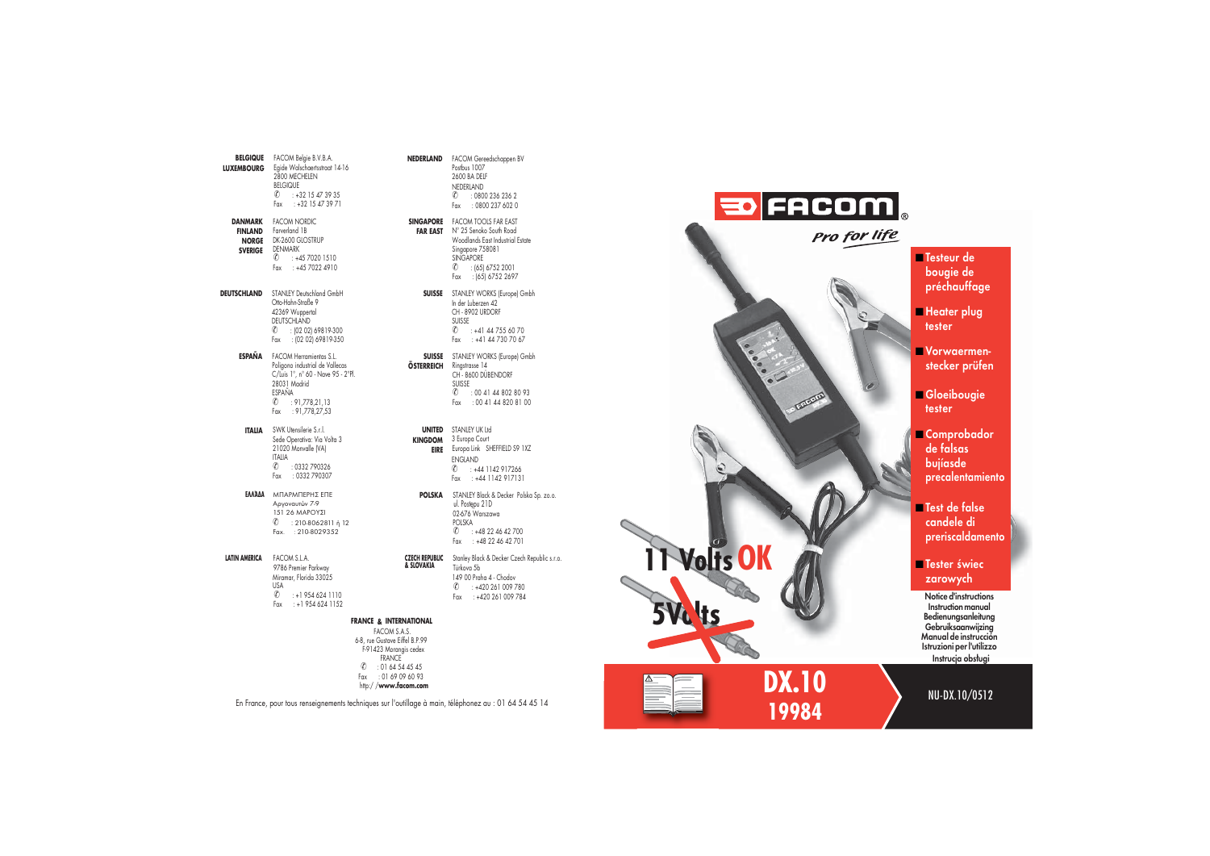| <b>BELGIQUE</b><br><b>LUXEMBOURG</b>                 | FACOM Belgie B.V.B.A.<br>Egide Walschaertsstraat 14-16<br>2800 MECHELEN<br><b>BELGIQUE</b><br>$\textcircled{1}$ : +32 15 47 39 35<br>Fax<br>$: +3215473971$                             |
|------------------------------------------------------|-----------------------------------------------------------------------------------------------------------------------------------------------------------------------------------------|
| DANMARK<br>FINLAND<br><b>NORGE</b><br><b>SVERIGE</b> | <b>FACOM NORDIC</b><br>Farverland 1B<br>DK-2600 GLOSTRUP<br><b>DENMARK</b><br>$\textcircled{t}$ : +45 7020 1510<br>Fax: : +45 7022 4910                                                 |
| <b>DEUTSCHLAND</b>                                   | STANLEY Deutschland GmbH<br>Otto-Hahn-Straße 9<br>42369 Wuppertal<br>DEUTSCHLAND<br>$\circ$ : (02 02) 69819-300<br>: (02 02) 69819-350<br>Fax                                           |
| ESPAÑA                                               | FACOM Herramientas S.L.<br>Poligono industrial de Vallecas<br>C/Luis 1°, n° 60 - Nave 95 - 2°Pl.<br>28031 Madrid<br>ESPAÑA<br>$\textcircled{0}$ : 91,778,21,13<br>Fax<br>: 91,778,27,53 |
| <b>ITALIA</b>                                        | SWK Utensilerie S.r.l.<br>Sede Operativa: Via Volta 3<br>21020 Monvalle [VA]<br><b>ITALIA</b><br>$\circledR$ : 0332 790326<br>Fax<br>: 0332 790307                                      |
| ΕΛΛΆΔΑ                                               | ΜΠΑΡΜΠΕΡΗΣ ΕΠΕ<br>Αργοναυτών 7-9<br>151 26 ΜΑΡΟΥΣΙ<br>$0$ : 210-8062811 ή 12<br>: 210-8029352<br>Fax.                                                                                   |
| <b>LATIN AMERICA</b>                                 | FACOM S.L.A.<br>9786 Premier Parkway<br>Miramar, Florida 33025<br><b>USA</b><br>$\circ$<br>$: +19546241110$<br>$: +19546241152$<br>Fax                                                  |
|                                                      | <b>FRANCE</b>                                                                                                                                                                           |
|                                                      | F.<br>6-8, rue<br>F.914                                                                                                                                                                 |

**NEDERLAND** FACOM Gereedschappen BV Postbus 1007 2600 BA DELF NEDERLAND $\hat{O}$  : 0800 236 236 2 Fax : 0800 237 602 0

**SINGAPORE** FACOM TOOLS FAR EAST FAR EAST N° 25 Senoko South Road Woodlands East Industrial Estate Singapore 758081 SINGAPORE  $\overline{6}$  : (65) 6752 2001 Fax : (65) 6752 2697

> **SUISSE** STANLEY WORKS (Europe) Gmbh In der Luberzen 42 CH - 8902 URDORFSUISSE  $\hat{O}$  : +41 44 755 60 70  $F_{\text{ax}}$  : +41 44 730 70 67

**SUISSE** STANLEY WORKS (Europe) Gmbh **ÖSTERREICH**Ringstrasse 14 CH - 8600 DÜBENDORF**SUISSE**  $\binom{?}{ }$  : 00 41 44 802 80 93 Fax : 00 41 44 820 81 00

**UNITED** STANLEY UK Ltd **KINGDOM** 3 Europa Court **EIRE** Europa Link SHEFFIELD S9 1XZ ENGLAND ✆ : +44 1142 917266  $F_{\text{ax}}$  : +44 1142 917131

**POLSKA** STANLEY Black & Decker Polska Sp. zo.o. ul. Postępu 21D 02-676 Warszawa POLSKA  $\binom{?}{ }$  : +48 22 46 42 700 Fax : +48 22 46 42 701

**CZECH REPUBLIC** Stanley Black & Decker Czech Republic s.r.o.<br>**& SLOVAKIA** Türkova 5b 149 00 Praha 4 - Chodov ✆ : +420 261 009 780 Fax : +420 261 009 784

## **& INTERNATIONAL**

- FACOM S.A.S. 6-8, rue Gustave Eiffel B.P.99 423 Morangis cedex **FRANCE**  $\binom{2}{1}$  : 01 64 54 45 45 Fax : 01 69 09 60 93
- http:/ /**www.facom.com**